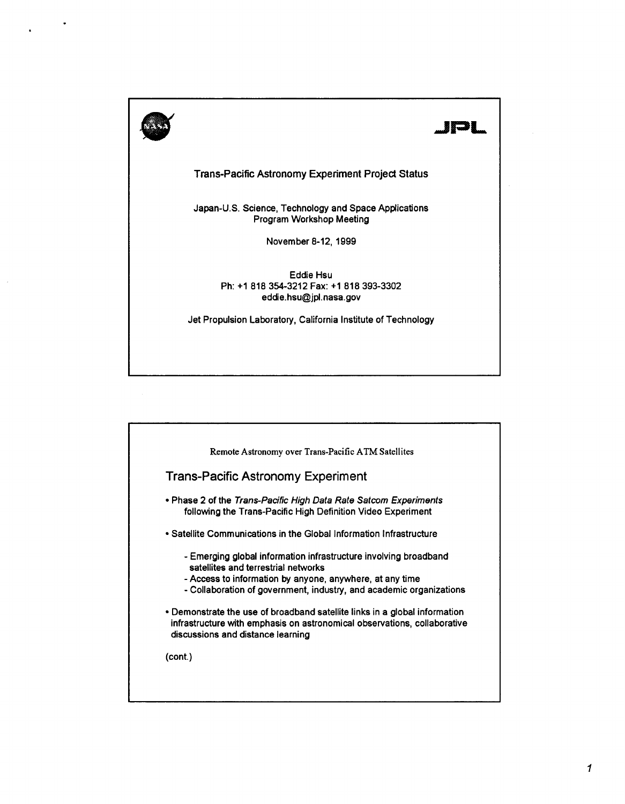

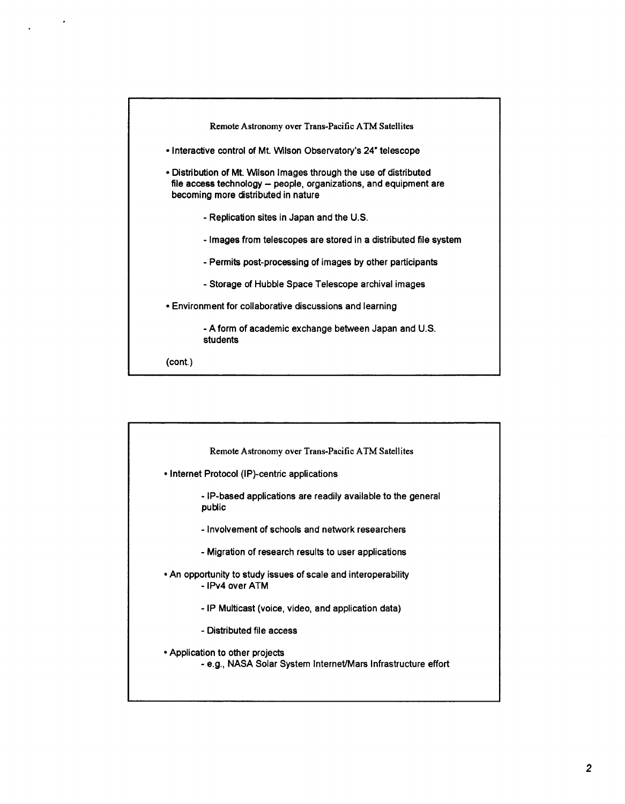| Remote Astronomy over Trans-Pacific ATM Satellites                                                                                                                             |
|--------------------------------------------------------------------------------------------------------------------------------------------------------------------------------|
| • Interactive control of Mt. Wilson Observatory's 24" telescope                                                                                                                |
| • Distribution of Mt. Wilson Images through the use of distributed<br>file access technology – people, organizations, and equipment are<br>becoming more distributed in nature |
| - Replication sites in Japan and the U.S.                                                                                                                                      |
| - Images from telescopes are stored in a distributed file system                                                                                                               |
| - Permits post-processing of images by other participants                                                                                                                      |
| - Storage of Hubble Space Telescope archival images                                                                                                                            |
| . Environment for collaborative discussions and learning                                                                                                                       |
| - A form of academic exchange between Japan and U.S.<br>students                                                                                                               |
| (cont.)                                                                                                                                                                        |

| Remote Astronomy over Trans-Pacific ATM Satellites                                               |
|--------------------------------------------------------------------------------------------------|
| • Internet Protocol (IP)-centric applications                                                    |
| - IP-based applications are readily available to the general<br>public                           |
| - Involvement of schools and network researchers                                                 |
| - Migration of research results to user applications                                             |
| • An opportunity to study issues of scale and interoperability<br>- IPv4 over ATM                |
| - IP Multicast (voice, video, and application data)                                              |
| - Distributed file access                                                                        |
| • Application to other projects<br>- e.g., NASA Solar System Internet/Mars Infrastructure effort |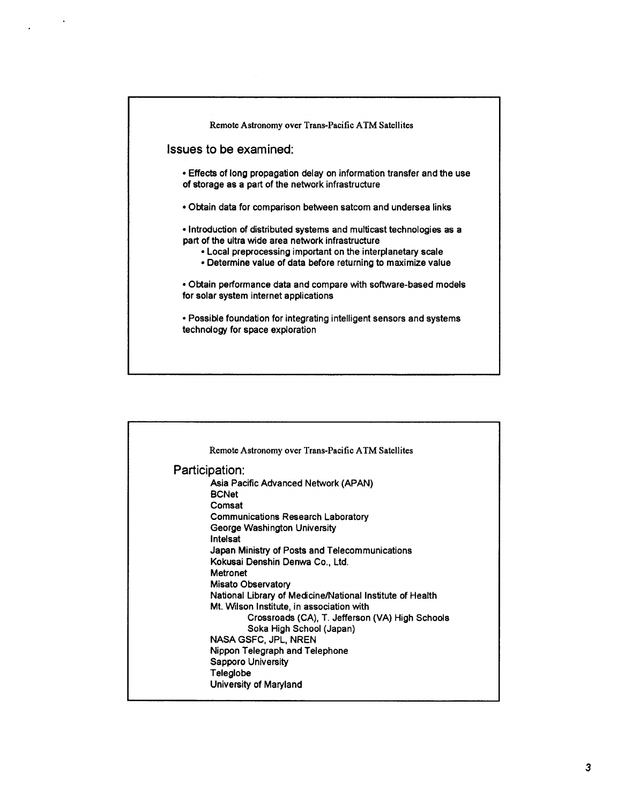| <b>Issues to be examined:</b><br>• Effects of long propagation delay on information transfer and the use<br>of storage as a part of the network infrastructure<br>• Obtain data for comparison between satcom and undersea links<br>• Introduction of distributed systems and multicast technologies as a<br>part of the ultra wide area network infrastructure<br>. Local preprocessing important on the interplanetary scale<br>• Determine value of data before returning to maximize value<br>• Obtain performance data and compare with software-based models<br>for solar system internet applications | Remote Astronomy over Trans-Pacific ATM Satellites                    |
|--------------------------------------------------------------------------------------------------------------------------------------------------------------------------------------------------------------------------------------------------------------------------------------------------------------------------------------------------------------------------------------------------------------------------------------------------------------------------------------------------------------------------------------------------------------------------------------------------------------|-----------------------------------------------------------------------|
|                                                                                                                                                                                                                                                                                                                                                                                                                                                                                                                                                                                                              |                                                                       |
|                                                                                                                                                                                                                                                                                                                                                                                                                                                                                                                                                                                                              |                                                                       |
|                                                                                                                                                                                                                                                                                                                                                                                                                                                                                                                                                                                                              |                                                                       |
|                                                                                                                                                                                                                                                                                                                                                                                                                                                                                                                                                                                                              |                                                                       |
|                                                                                                                                                                                                                                                                                                                                                                                                                                                                                                                                                                                                              |                                                                       |
| technology for space exploration                                                                                                                                                                                                                                                                                                                                                                                                                                                                                                                                                                             | • Possible foundation for integrating intelligent sensors and systems |
|                                                                                                                                                                                                                                                                                                                                                                                                                                                                                                                                                                                                              |                                                                       |

| Remote Astronomy over Trans-Pacific ATM Satellites          |  |
|-------------------------------------------------------------|--|
| Participation:                                              |  |
| Asia Pacific Advanced Network (APAN)                        |  |
| <b>BCNet</b>                                                |  |
| Comsat                                                      |  |
| <b>Communications Research Laboratory</b>                   |  |
| George Washington University                                |  |
| Intelsat                                                    |  |
| Japan Ministry of Posts and Telecommunications              |  |
| Kokusai Denshin Denwa Co., Ltd.                             |  |
| Metronet                                                    |  |
| Misato Observatory                                          |  |
| National Library of Medicine/National Institute of Health   |  |
| Mt. Wilson Institute, in association with                   |  |
| Crossroads (CA), T. Jefferson (VA) High Schools             |  |
| Soka High School (Japan)                                    |  |
| NASA GSFC, JPL, NREN                                        |  |
| Nippon Telegraph and Telephone<br><b>Sapporo University</b> |  |
| Teleglobe                                                   |  |
| University of Maryland                                      |  |
|                                                             |  |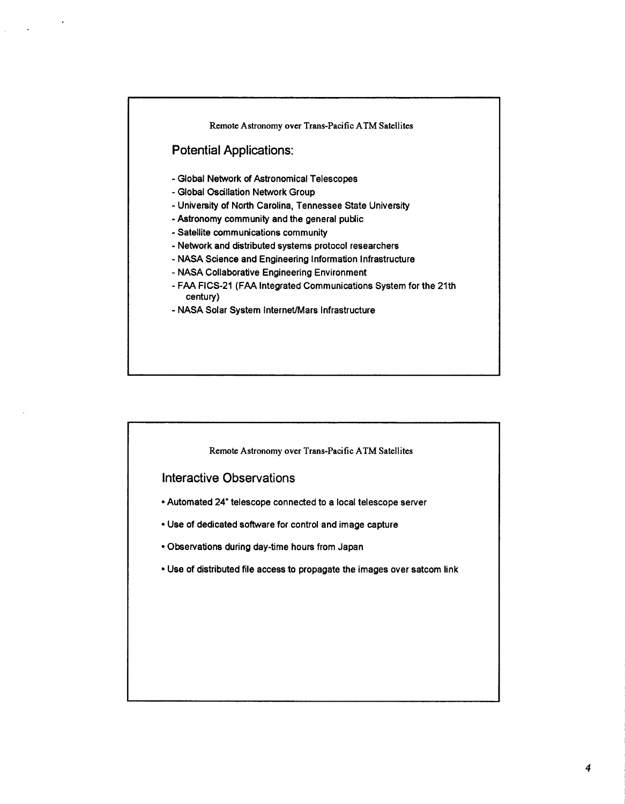

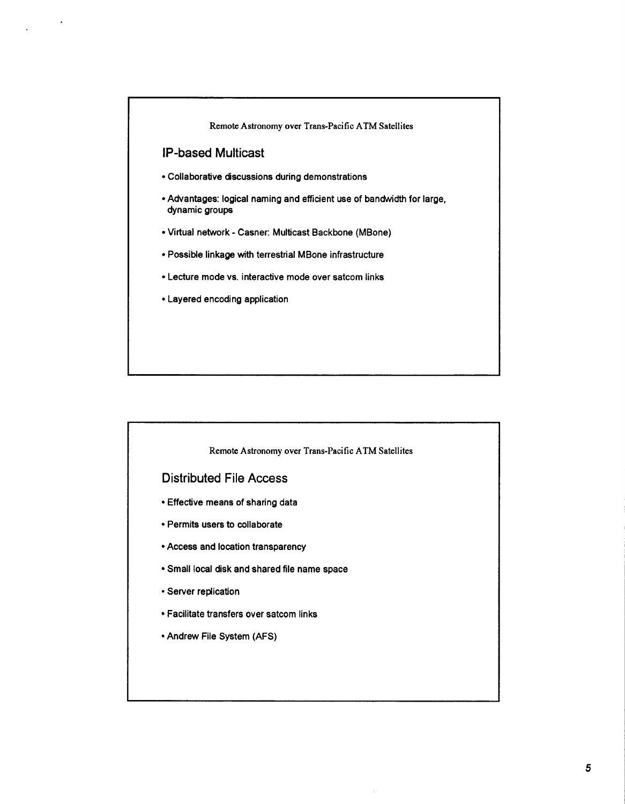

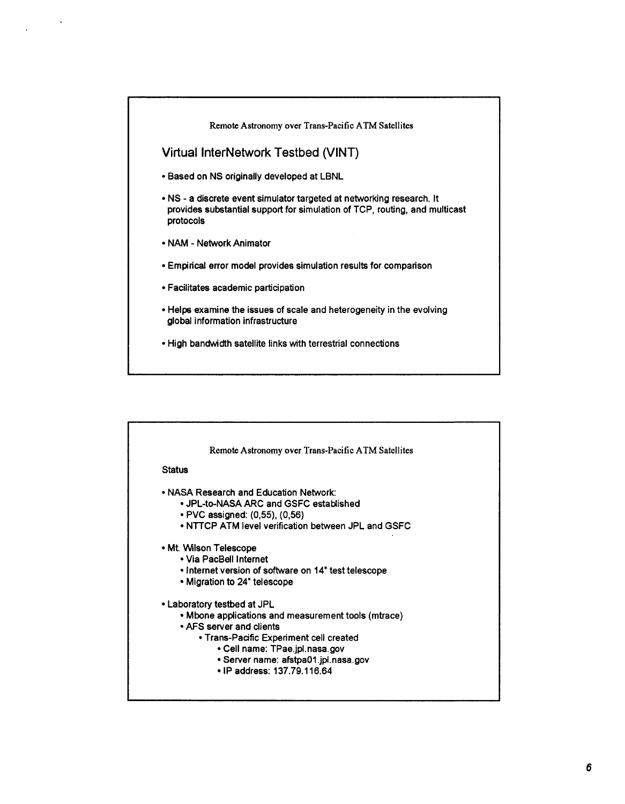

|               | Remote Astronomy over Trans-Pacific ATM Satellites   |
|---------------|------------------------------------------------------|
| <b>Status</b> |                                                      |
|               | • NASA Research and Education Network:               |
|               | • JPL-to-NASA ARC and GSFC established               |
|               | • PVC assigned: (0,55), (0,56)                       |
|               | • NTTCP ATM level verification between JPL and GSFC  |
|               | • Mt. Wilson Telescope                               |
|               | • Via PacBell Internet                               |
|               | • Internet version of software on 14" test telescope |
|               | • Migration to 24" telescope                         |
|               | • Laboratory testbed at JPL                          |
|               | • Mbone applications and measurement tools (mtrace)  |
|               | • AFS server and clients                             |
|               | • Trans-Pacific Experiment cell created              |
|               | • Cell name: TPae.jpl.nasa.gov                       |
|               | • Server name: afstpa01.jpl.nasa.gov                 |
|               | • IP address: 137.79.116.64                          |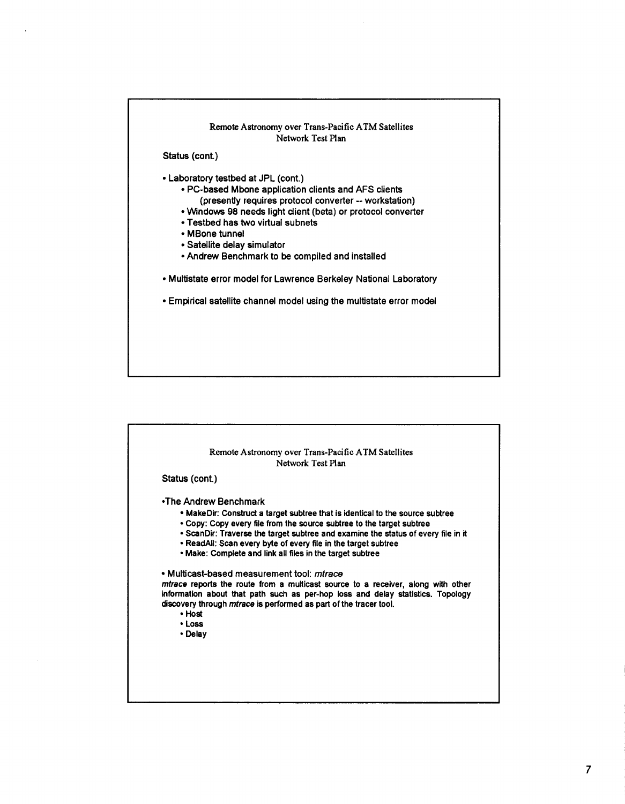

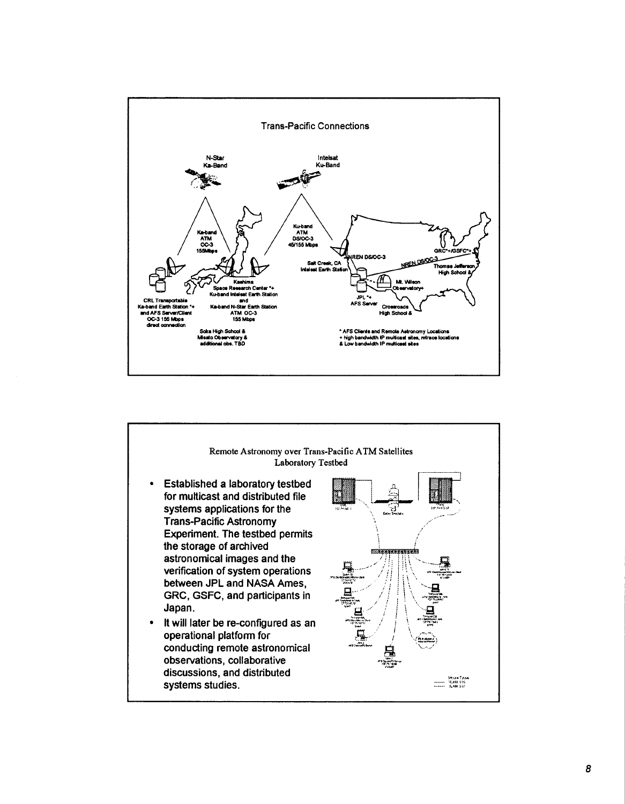

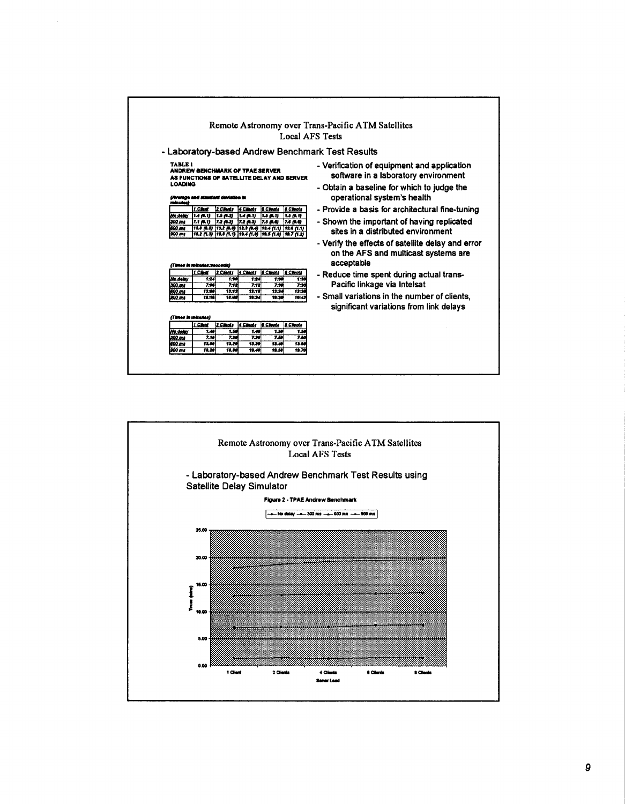|                                                                                        |                                                                                                                                                                                                                                                                                                           | Remote Astronomy over Trans-Pacific ATM Satellites<br>Local AFS Tests                                                                                                                                                            |
|----------------------------------------------------------------------------------------|-----------------------------------------------------------------------------------------------------------------------------------------------------------------------------------------------------------------------------------------------------------------------------------------------------------|----------------------------------------------------------------------------------------------------------------------------------------------------------------------------------------------------------------------------------|
|                                                                                        | - Laboratory-based Andrew Benchmark Test Results                                                                                                                                                                                                                                                          |                                                                                                                                                                                                                                  |
| TARLE <sub>1</sub><br><b>LOADING</b><br>(Average and standard deviation in<br>minutes) | ANDREW BENCHMARK OF TPAE SERVER<br>AS FUNCTIONS OF SATELLITE DELAY AND SERVER                                                                                                                                                                                                                             | - Verification of equipment and application<br>software in a laboratory environment<br>- Obtain a baseline for which to judge the<br>operational system's health                                                                 |
| 1 Clerk<br>No delay<br>14(0,1)<br>300 ms<br>7.1 (B.1)<br>600 m s<br><b>200.ms</b>      | 2 Clints<br>4 Clients<br><b>E.Cleats</b><br><b>8 Cleats</b><br>1.5(0.2)<br>$H \rightarrow 0.1$<br>1.5 (0.1)<br>1.5(0.1)<br>$7.2$ $(0.2)$ $7.2$ $(0.3)$<br>7.5 (0.6)<br>7.6 (R.G)<br> 12.0 (8.3)  12.2 (8.8)  12.3 (8.4)  12.4 (1.1)  12.6 (1.1)<br>18.2 (1.3) 18.8 (1.1) 19.4 (1.0) 19.5 (1.0) 19.7 (1.2) | - Provide a basis for architectural fine-tuning<br>- Shown the important of having replicated<br>sites in a distributed environment<br>- Verify the effects of satellite delay and error<br>on the AFS and multicast systems are |
| (Times in minutes:peopnds)<br>1 Clinat<br>No seley<br>300 m s<br>1699. m s<br>1899.ms  | <b>EClents</b><br><b>E</b> Chemia<br>2 Cleats<br>d Clents<br>124<br>1.30<br>1:24<br>1.30<br>7.06<br>7.12<br>$7 - 12$<br>7.30<br>$13 - 12$<br>13.18<br>13.24<br>13.30<br>13:50<br>19:24<br>19:42<br>18:16<br>18:48<br>19.30                                                                                | acceptable<br>- Reduce time spent during actual trans-<br>1.30<br>Pacific linkage via Intelsat<br>7:30<br>- Small variations in the number of clients.<br>significant variations from link delays                                |
| (Times in minutes)                                                                     |                                                                                                                                                                                                                                                                                                           |                                                                                                                                                                                                                                  |
| 1 Clint<br>No.delex<br>309.011<br>600 m s<br>900 ms                                    | <b>EChats</b><br><b>Clents</b><br>2 Cleats<br><b>8 Clients</b><br>1.49<br>1.50<br>1.50<br>1.48<br>7.10<br>7.20<br>7.59<br>7.20<br>13.60<br>12.00<br>13.29<br>13.30<br>13.49<br>12.80<br>12.20<br>19.49<br>19.50                                                                                           | 1.54<br>7.66<br>19.70                                                                                                                                                                                                            |

 $\bar{z}$ 

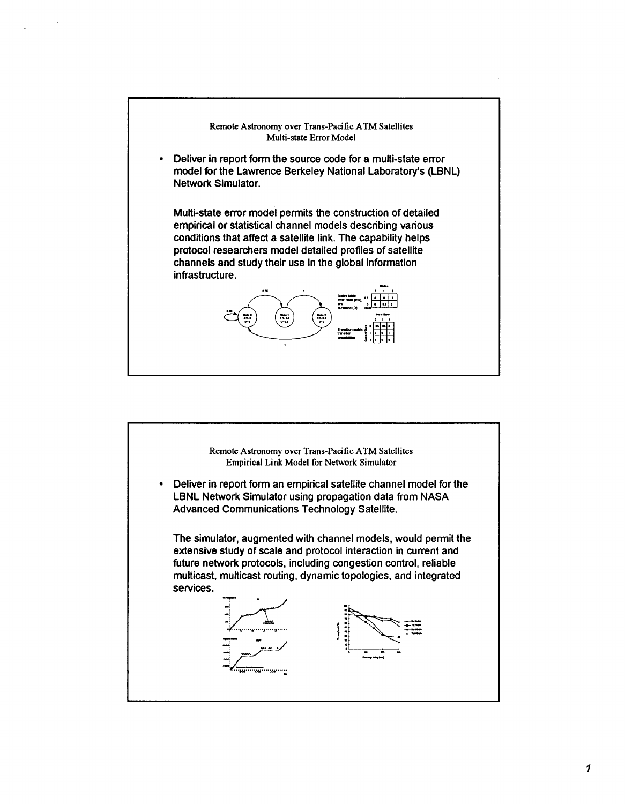

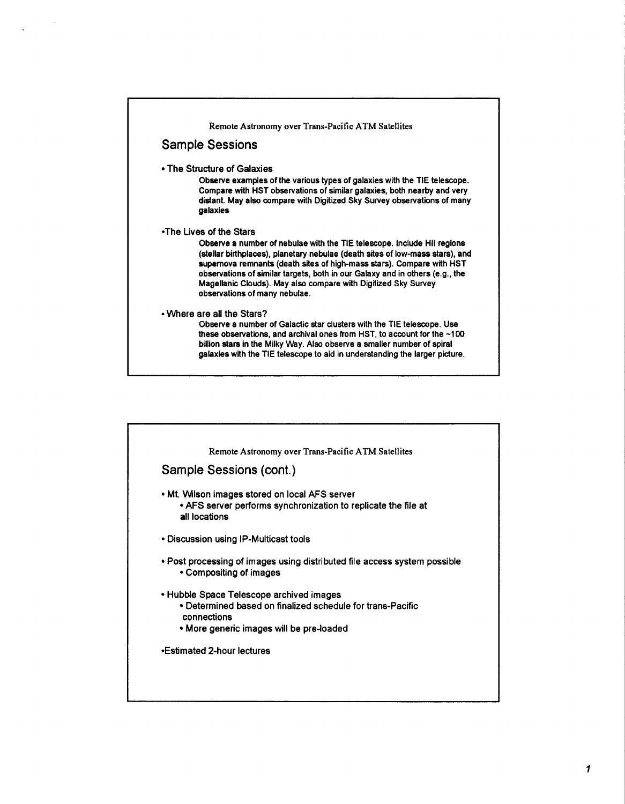